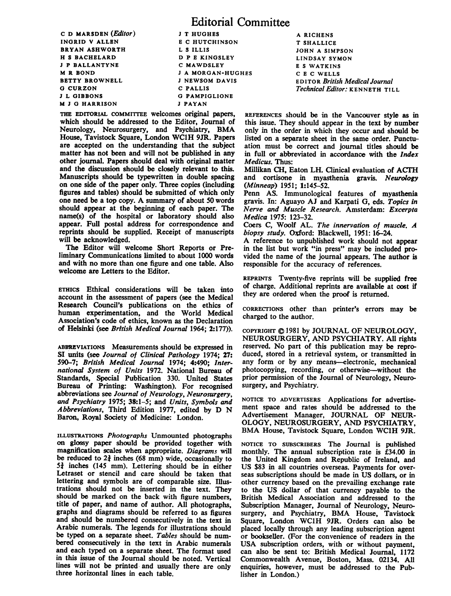C D MARSDEN (*Editor*) J T HUGHES<br>INGRID V ALLEN B C HUTCHI **BRYAN ASHWORTH LS ILLIS<br>
H S BACHELARD D P E KINGSLEY** H S BACHELARD D P E KINGSI<br>
J P BALLANTYNE C MAWDSLEY J P BALLANTYNE<br>M R ROND M R BOND J A MORGAN-HUGHES BETTY BROWNELL JNEWSOM DAVIS<br>G CURZON C PAILIS G CURZON<br>J L GIBBONS **M J G HARRISON** 

E C HUTCHINSON<br>L S ILLIS G PAMPIGLIONE<br>J PAYAN

Editorial Committee

THE EDITORIAL COMMITTEE welcomes original papers, which should be addressed to the Editor, Journal of Neurology, Neurosurgery, and Psychiatry, BMA House, Tavistock Square, London WCIH 9JR. Papers are accepted on the understanding that the subject matter has not been and will not be published in any other journal. Papers should deal with original matter and the discussion should be closely relevant to this. Manuscripts should be typewritten in double spacing on one side of the paper only. Three copies (including figures and tables) should be submitted of which only one need be <sup>a</sup> top copy. A summary of about <sup>50</sup> words should appear at the beginning of each paper. The name(s) of the hospital or laboratory should also appear. Full postal address for correspondence and reprints should be supplied. Receipt of manuscripts will be acknowledged.

The Editor will welcome Short Reports or Preliminary Communications limited to about 1000 words and with no more than one figure and one table. Also welcome are Letters to the Editor.

ETHICS Ethical considerations will be taken into account in the assessment of papers (see the Medical Research Council's publications on the ethics of human experimentation, and the World Medical Association's code of ethics, known as the Declaration of Helsinki (see British Medical Journal 1964; 2:177)).

ABBRVIATIONS Measurements should be expressed in SI units (see Journal of Clinical Pathology 1974; 27: 590-7; British Medical Journal 1974; 4:490; International System of Units 1972. National Bureau of Standards, Special Publication 330. United States Bureau of Printing: Washington). For recognised abbreviations see Journal of Neurology, Neurosurgery, and Psychiatry 1975; 38:1-5; and Units, Symbols and Abbreviations, Third Edition 1977, edited by D N Baron, Royal Society of Medicine: London.

ILLUSTRATIONS Photographs Unmounted photographs on glossy paper should be provided together with magnification scales when appropriate. Diagrams will be reduced to  $2\frac{3}{4}$  inches (68 mm) wide, occasionally to  $5\frac{3}{4}$  inches (145 mm). Lettering should be in either Letraset or stencil and care should be taken that lettering and symbols are of comparable size. Illustrations should not be inserted in the text. They should be marked on the back with figure numbers, title of paper, and name of author. All photographs, graphs and diagrams should be referred to as figures and should be numbered consecutively in the text in Arabic numerals. The legends for illustrations should be typed on a separate sheet. Tables should be numbered consecutively in the text in Arabic numerals and each typed on a separate sheet. The format used in this issue of the Journal should be noted. Vertical lines will not be printed and usually there are only three horizontal lines in each table.

A RICHENS T SHALLICE JOHN A SIMPSON LINDSAY SYMON <sup>E</sup> <sup>S</sup> WATKINS C E C WELLS EDITOR British Medical Journal Technical Editor: KENNETH TILL

REFERENCES should be in the Vancouver style as in this issue. They should appear in the text by number only in the order in which they occur and should be listed on a separate sheet in the same order. Punctuation must be correct and journal titles should be in full or abbreviated in accordance with the Index Medicus. Thus:

Millikan CH, Eaton LH. Clinical evaluation of ACIH and cortisone in myasthenia gravis. Neurology (Minneap) 1951; 1:145-52.

Penn AS. Immunological features of myasthenia gravis. In: Aguayo AJ and Karpati G, eds. Topics in Nerve and Muscle Research. Amsterdam: Excerpta Medica 1975: 123-32.

Coers C, Woolf AL. The innervation of muscle. A biopsy study. Oxford: Blackwell, 1951: 16-24.

A reference to unpublished work should not appear in the list but work "in press" may be included provided the name of the journal appears. The author is responsible for the accuracy of references.

REPRINTS Twenty-five reprints will be supplied free of charge. Additional reprints are available at cost if they are ordered when the proof is returned.

CORRECrIONS other than printer's errors may be charged to the author.

COPYRIGHT @ 1981 by JOURNAL OF NEUROLOGY, NEUROSURGERY, AND PSYCHIATRY. All rights reserved. No part of this publication may be reproduced, stored in a retrieval system, or transmitted in any form or by any means-electronic, mechanical photocopying, recording, or otherwise-without the prior permission of the Journal of Neurology, Neurosurgery, and Psychiatry.

NOTICE TO ADVERTISERS Applications for advertisement space and rates should be addressed to the Advertisement Manager, JOURNAL OF NEUR-OLOGY, NEUROSURGERY, AND PSYCHIATRY, BMA House, Tavistock Square, London WC1H 9JR.

NOTICE TO SUBSCRIBERS The Journal is published monthly. The annual subscription rate is £34.00 in the United Kingdom and Republic of Ireland, and US \$83 in all countries overseas. Payments for overseas subscriptions should be made in US dollars, or in other currency based on the prevailing exchange rate to the US dollar of that currency payable to the British Medical Association and addressed to the Subscription Manager, Joumal of Neurology, Neurosurgery, and Psychiatry, BMA House, Tavistock Square, London WC1H 9JR. Orders can also be placed locally through any leading subscription agent or bookseller. (For the convenience of readers in the USA subscription orders, with or without payment, can also be sent to: British Medical Journal, 1172 Commonwealth Avenue, Boston, Mass. 02134. All enquiries, however, must be addressed to the Publisher in London.)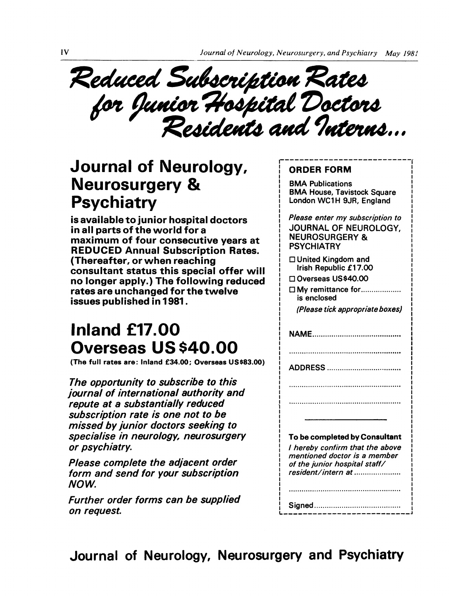Subscription i Saoscription<br>ior Hospital<br>Residents an

## Journal of Neurology, Neurosurgery & **Psychiatry**

is available to junior hospital doctors in all parts of the world for a maximum of four consecutive years at REDUCED Annual Subscription Rates. (Thereafter, or when reaching consultant status this special offer will no longer apply.) The following reduced rates are unchanged for the twelve issues published in 1981.

## Inland £17.00 Overseas US \$40.00

(The full rates are: Inland £34.00; Overseas US\$83.00)

The opportunity to subscribe to this journal of international authority and repute at a substantially reduced subscription rate is one not to be missed by junior doctors seeking to specialise in neurology, neurosurgery or psychiatry.

Please complete the adjacent order form and send for your subscription NOW

Further order forms can be supplied on request.

## ORDER FORM

BMA Publications BMA House, Tavistock Square London WC1H 9JR, England

Please enter my subscription to JOURNAL OF NEUROLOGY, NEUROSURGERY & **PSYCHIATRY** 

□ United Kingdom and Irish Republic £17.00

□ Overseas US\$40.00

□ My remittance for................... is enclosed

(Please tick appropriate boxes)

NAME..........................................

ADDRESS ...................................

To be completed by Consultant

<sup>I</sup> hereby confirm that the above mentioned doctor is a member of the junior hospital staff/ resident/intern at......................

Signed......................................... I\_\_\_\_\_\_\_\_\_\_\_\_\_

Journal of Neurology, Neurosurgery and Psychiatry